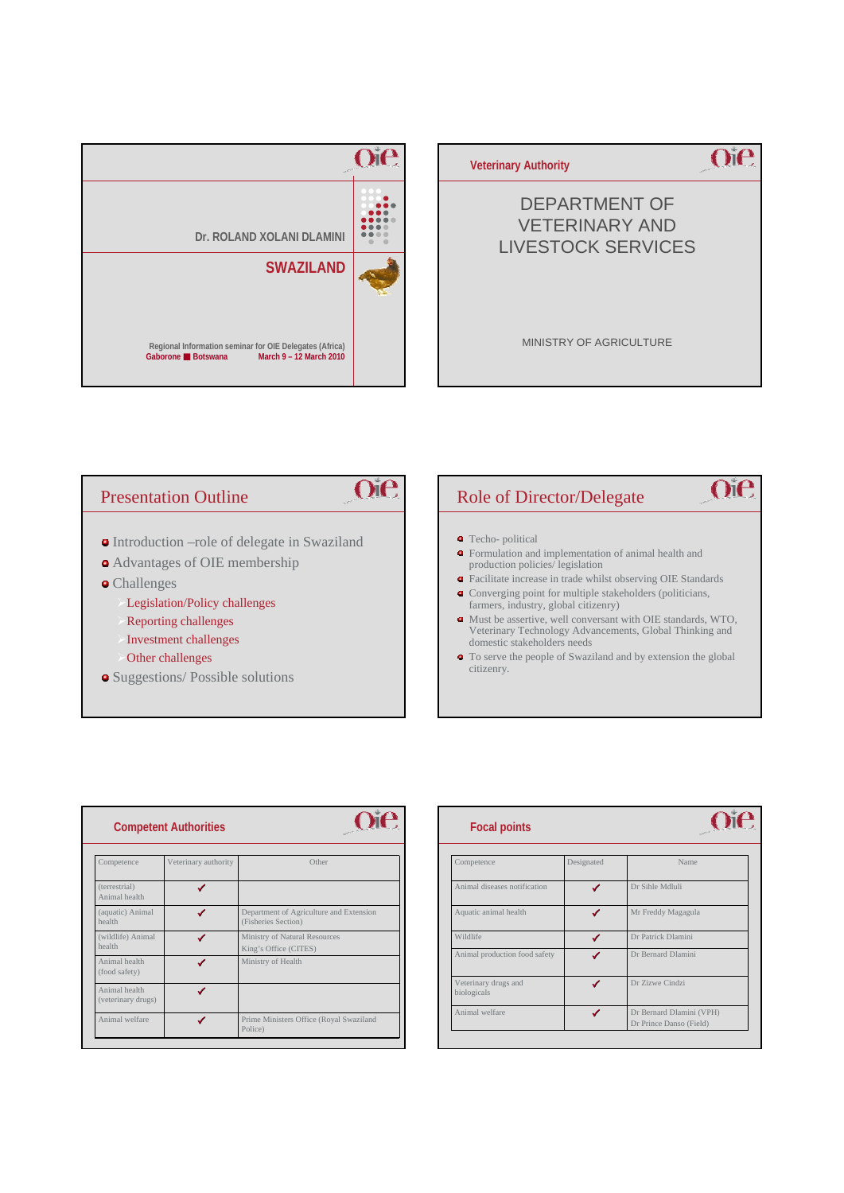



# **Oie** Presentation Outline **•** Introduction –role of delegate in Swaziland Advantages of OIE membership Challenges Legislation/Policy challenges ¾Reporting challenges Investment challenges Other challenges citizenry. • Suggestions/ Possible solutions

# Role of Director/Delegate

- Techo- political
- Formulation and implementation of animal health and production policies/ legislation
- Facilitate increase in trade whilst observing OIE Standards

 $O$ ie

- Converging point for multiple stakeholders (politicians, farmers, industry, global citizenry)
- Must be assertive, well conversant with OIE standards, WTO, Veterinary Technology Advancements, Global Thinking and domestic stakeholders needs
- To serve the people of Swaziland and by extension the global

| <b>Competent Authorities</b>        |                      |                                                                |  |
|-------------------------------------|----------------------|----------------------------------------------------------------|--|
| Competence                          | Veterinary authority | Other                                                          |  |
| (terrestrial)<br>Animal health      |                      |                                                                |  |
| (aquatic) Animal<br>health          |                      | Department of Agriculture and Extension<br>(Fisheries Section) |  |
| (wildlife) Animal<br>health         |                      | Ministry of Natural Resources<br>King's Office (CITES)         |  |
| Animal health<br>(food safety)      |                      | Ministry of Health                                             |  |
| Animal health<br>(veterinary drugs) |                      |                                                                |  |
| Animal welfare                      |                      | Prime Ministers Office (Royal Swaziland<br>Police)             |  |

| <b>Focal points</b>                 |            |                                                     |
|-------------------------------------|------------|-----------------------------------------------------|
| Competence                          | Designated | Name                                                |
| Animal diseases notification        |            | Dr Sihle Mdluli                                     |
| Aquatic animal health               |            | Mr Freddy Magagula                                  |
| Wildlife                            |            | Dr Patrick Dlamini                                  |
| Animal production food safety       |            | Dr Bernard Dlamini                                  |
| Veterinary drugs and<br>biologicals |            | Dr Zizwe Cindzi                                     |
| Animal welfare                      | ✔          | Dr Bernard Dlamini (VPH)<br>Dr Prince Danso (Field) |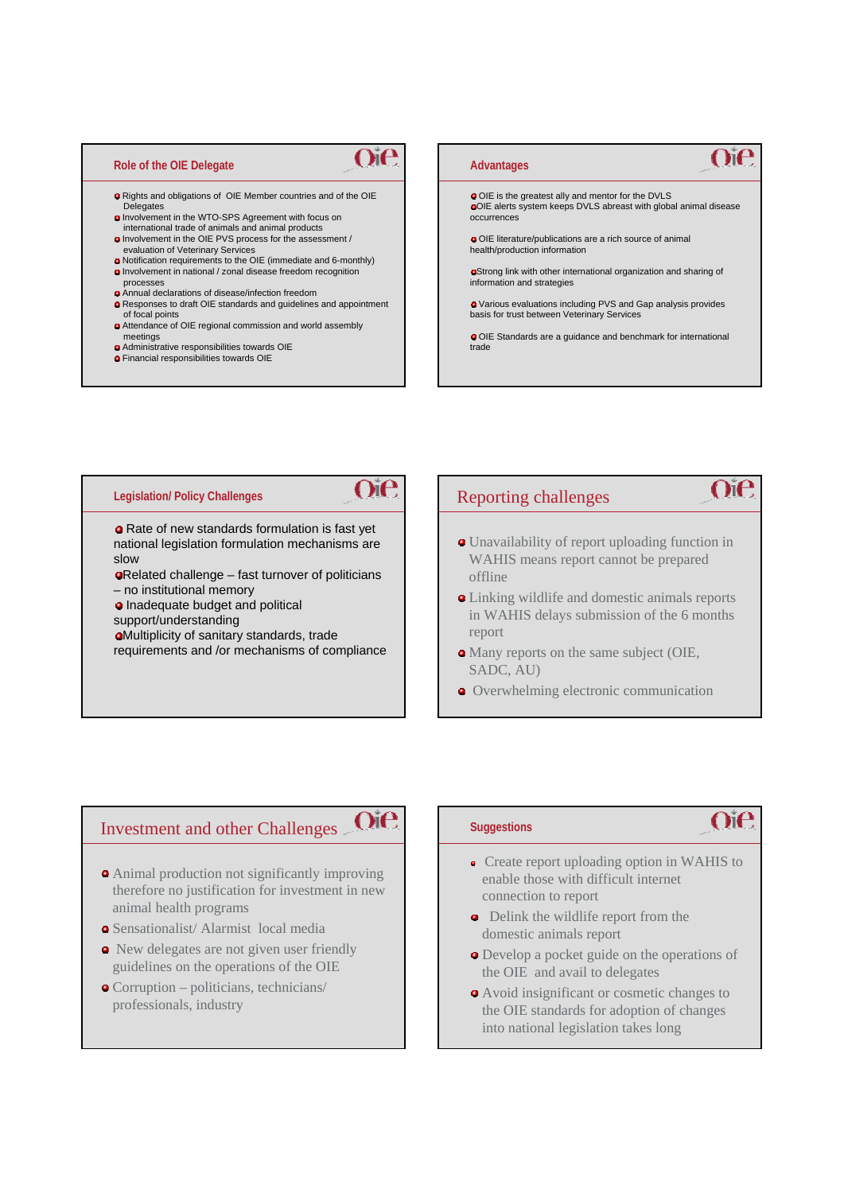#### **Role of the OIE Delegate**

Rights and obligations of OIE Member countries and of the OIE Delegates

 $O$ i $e$ 

**Oie** 

 $O$ ie

- Involvement in the WTO-SPS Agreement with focus on international trade of animals and animal products Involvement in the OIE PVS process for the assessment /
- evaluation of Veterinary Services
- Notification requirements to the OIE (immediate and 6-monthly) Involvement in national / zonal disease freedom recognition
- processes Annual declarations of disease/infection freedom
- Responses to draft OIE standards and guidelines and appointment of focal points
- Attendance of OIE regional commission and world assembly meetings
- Administrative responsibilities towards OIE
- Financial responsibilities towards OIE

#### $O$ i $\theta$ **Advantages** OIE is the greatest ally and mentor for the DVLS OIE alerts system keeps DVLS abreast with global animal disease occurrences OIE literature/publications are a rich source of animal health/production information Strong link with other international organization and sharing of information and strategies Various evaluations including PVS and Gap analysis provides basis for trust between Veterinary Services OIE Standards are a guidance and benchmark for international trade

#### **Legislation/ Policy Challenges**

**Q** Rate of new standards formulation is fast yet national legislation formulation mechanisms are slow

- Related challenge fast turnover of politicians – no institutional memory
- **a** Inadequate budget and political

support/understanding

Multiplicity of sanitary standards, trade requirements and /or mechanisms of compliance

#### Reporting challenges

- Unavailability of report uploading function in WAHIS means report cannot be prepared offline
- Linking wildlife and domestic animals reports in WAHIS delays submission of the 6 months report
- Many reports on the same subject (OIE, SADC, AU)
- **O** Overwhelming electronic communication

## Investment and other Challenges

- Animal production not significantly improving therefore no justification for investment in new animal health programs
- Sensationalist/ Alarmist local media
- New delegates are not given user friendly guidelines on the operations of the OIE
- Corruption politicians, technicians/ professionals, industry

#### **Suggestions**

# $\cap$ i $\in$

 $O$ ie

- Create report uploading option in WAHIS to enable those with difficult internet connection to report
- Delink the wildlife report from the domestic animals report
- Develop a pocket guide on the operations of the OIE and avail to delegates
- Avoid insignificant or cosmetic changes to the OIE standards for adoption of changes into national legislation takes long